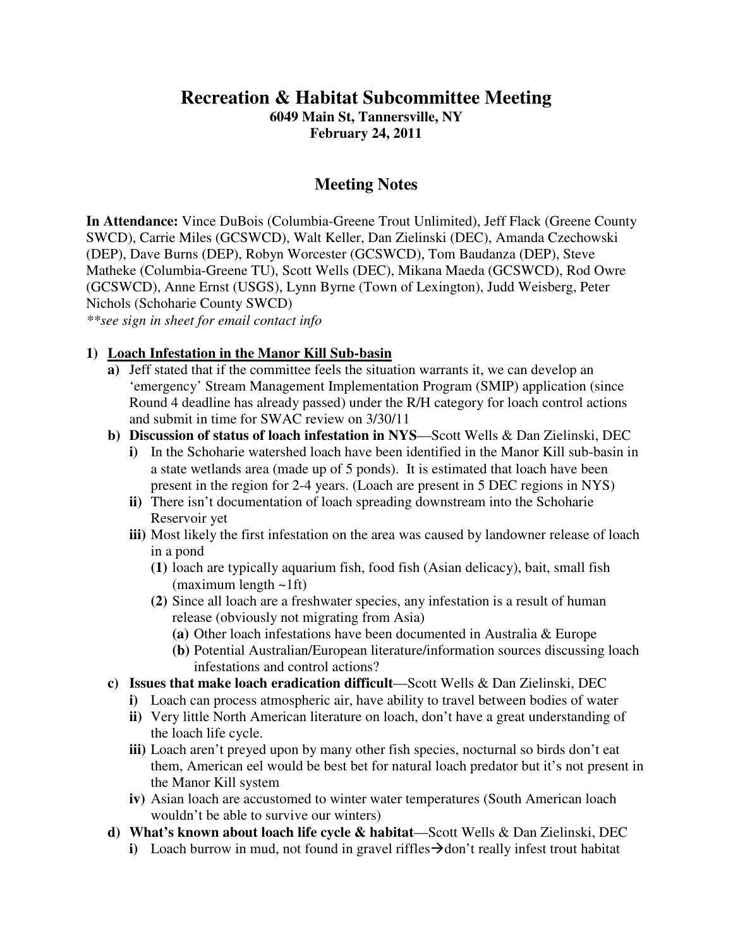# **Recreation & Habitat Subcommittee Meeting**

**6049 Main St, Tannersville, NY February 24, 2011** 

# **Meeting Notes**

**In Attendance:** Vince DuBois (Columbia-Greene Trout Unlimited), Jeff Flack (Greene County SWCD), Carrie Miles (GCSWCD), Walt Keller, Dan Zielinski (DEC), Amanda Czechowski (DEP), Dave Burns (DEP), Robyn Worcester (GCSWCD), Tom Baudanza (DEP), Steve Matheke (Columbia-Greene TU), Scott Wells (DEC), Mikana Maeda (GCSWCD), Rod Owre (GCSWCD), Anne Ernst (USGS), Lynn Byrne (Town of Lexington), Judd Weisberg, Peter Nichols (Schoharie County SWCD)

*\*\*see sign in sheet for email contact info*

#### **1) Loach Infestation in the Manor Kill Sub-basin**

- **a)** Jeff stated that if the committee feels the situation warrants it, we can develop an 'emergency' Stream Management Implementation Program (SMIP) application (since Round 4 deadline has already passed) under the R/H category for loach control actions and submit in time for SWAC review on 3/30/11
- **b) Discussion of status of loach infestation in NYS**—Scott Wells & Dan Zielinski, DEC
	- **i**) In the Schoharie watershed loach have been identified in the Manor Kill sub-basin in a state wetlands area (made up of 5 ponds). It is estimated that loach have been present in the region for 2-4 years. (Loach are present in 5 DEC regions in NYS)
	- **ii)** There isn't documentation of loach spreading downstream into the Schoharie Reservoir yet
	- **iii)** Most likely the first infestation on the area was caused by landowner release of loach in a pond
		- **(1)** loach are typically aquarium fish, food fish (Asian delicacy), bait, small fish (maximum length ~1ft)
		- **(2)** Since all loach are a freshwater species, any infestation is a result of human release (obviously not migrating from Asia)
			- **(a)** Other loach infestations have been documented in Australia & Europe
			- **(b)** Potential Australian/European literature/information sources discussing loach infestations and control actions?
- **c) Issues that make loach eradication difficult**—Scott Wells & Dan Zielinski, DEC
	- **i)** Loach can process atmospheric air, have ability to travel between bodies of water
	- **ii)** Very little North American literature on loach, don't have a great understanding of the loach life cycle.
	- iii) Loach aren't preyed upon by many other fish species, nocturnal so birds don't eat them, American eel would be best bet for natural loach predator but it's not present in the Manor Kill system
	- **iv)** Asian loach are accustomed to winter water temperatures (South American loach wouldn't be able to survive our winters)
- **d) What's known about loach life cycle & habitat**—Scott Wells & Dan Zielinski, DEC
	- **i**) Loach burrow in mud, not found in gravel riffles  $\rightarrow$  don't really infest trout habitat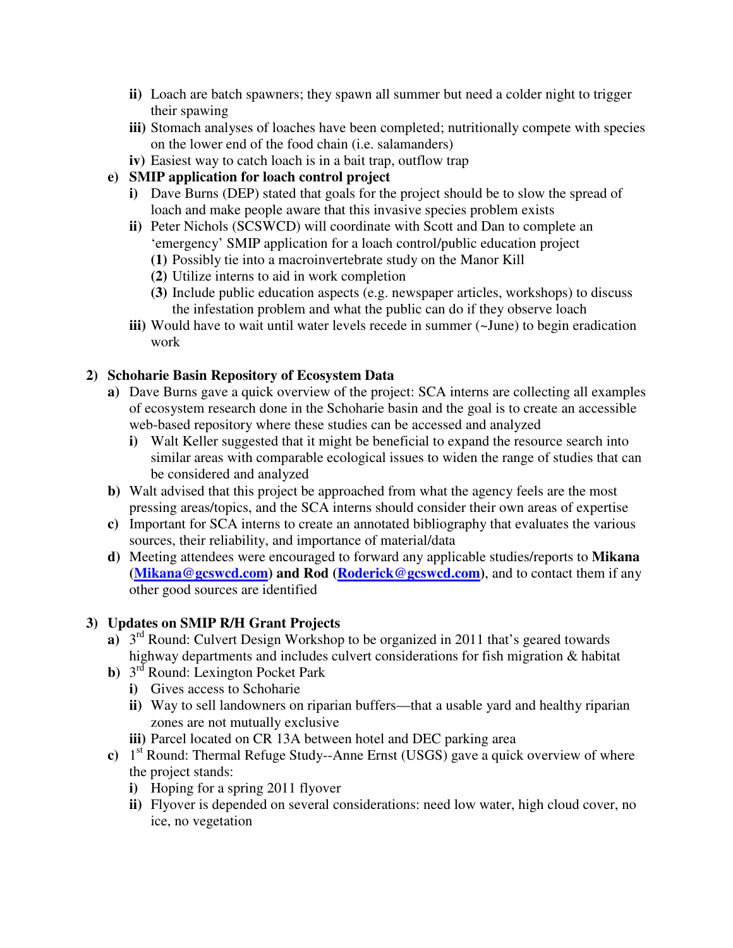- **ii)** Loach are batch spawners; they spawn all summer but need a colder night to trigger their spawing
- **iii)** Stomach analyses of loaches have been completed; nutritionally compete with species on the lower end of the food chain (i.e. salamanders)
- **iv)** Easiest way to catch loach is in a bait trap, outflow trap
- **e) SMIP application for loach control project** 
	- **i)** Dave Burns (DEP) stated that goals for the project should be to slow the spread of loach and make people aware that this invasive species problem exists
	- **ii)** Peter Nichols (SCSWCD) will coordinate with Scott and Dan to complete an 'emergency' SMIP application for a loach control/public education project
		- **(1)** Possibly tie into a macroinvertebrate study on the Manor Kill
		- **(2)** Utilize interns to aid in work completion
		- **(3)** Include public education aspects (e.g. newspaper articles, workshops) to discuss the infestation problem and what the public can do if they observe loach
	- **iii)** Would have to wait until water levels recede in summer (~June) to begin eradication work

### **2) Schoharie Basin Repository of Ecosystem Data**

- **a)** Dave Burns gave a quick overview of the project: SCA interns are collecting all examples of ecosystem research done in the Schoharie basin and the goal is to create an accessible web-based repository where these studies can be accessed and analyzed
	- **i)** Walt Keller suggested that it might be beneficial to expand the resource search into similar areas with comparable ecological issues to widen the range of studies that can be considered and analyzed
- **b)** Walt advised that this project be approached from what the agency feels are the most pressing areas/topics, and the SCA interns should consider their own areas of expertise
- **c)** Important for SCA interns to create an annotated bibliography that evaluates the various sources, their reliability, and importance of material/data
- **d)** Meeting attendees were encouraged to forward any applicable studies/reports to **Mikana (Mikana@gcswcd.com) and Rod (Roderick@gcswcd.com)**, and to contact them if any other good sources are identified

## **3) Updates on SMIP R/H Grant Projects**

- **a**)  $3^{rd}$  Round: Culvert Design Workshop to be organized in 2011 that's geared towards highway departments and includes culvert considerations for fish migration & habitat
- **b**) 3<sup>rd</sup> Round: Lexington Pocket Park
	- **i)** Gives access to Schoharie
	- **ii)** Way to sell landowners on riparian buffers—that a usable yard and healthy riparian zones are not mutually exclusive
	- **iii)** Parcel located on CR 13A between hotel and DEC parking area
- **c)** 1 st Round: Thermal Refuge Study--Anne Ernst (USGS) gave a quick overview of where the project stands:
	- **i)** Hoping for a spring 2011 flyover
	- **ii)** Flyover is depended on several considerations: need low water, high cloud cover, no ice, no vegetation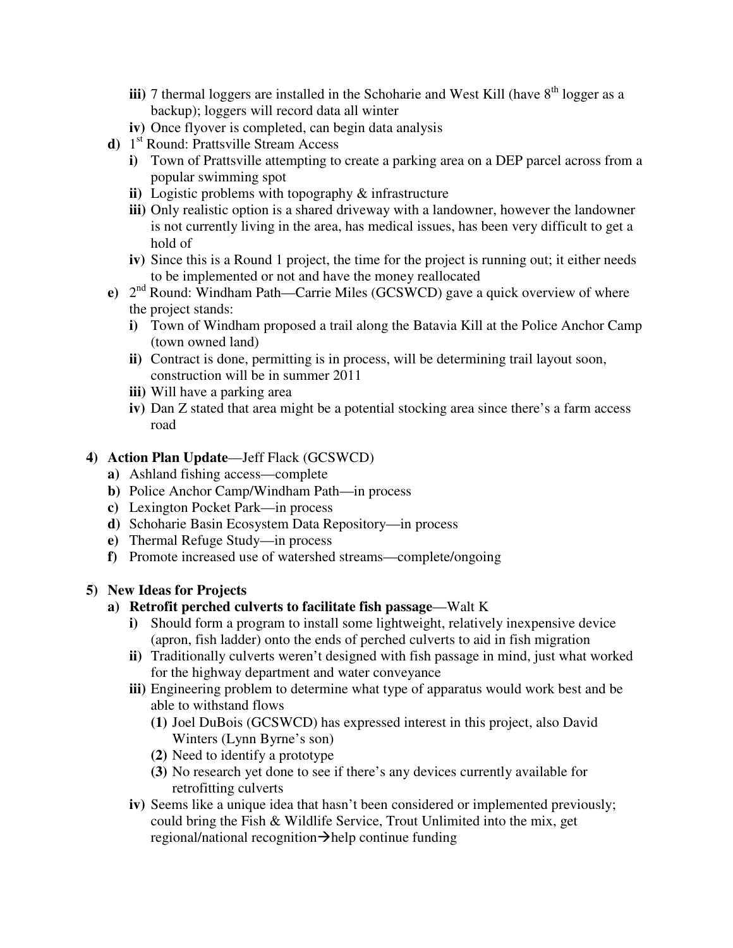- **iii**) 7 thermal loggers are installed in the Schoharie and West Kill (have  $8<sup>th</sup>$  logger as a backup); loggers will record data all winter
- **iv)** Once flyover is completed, can begin data analysis
- **d)** 1 st Round: Prattsville Stream Access
	- **i)** Town of Prattsville attempting to create a parking area on a DEP parcel across from a popular swimming spot
	- **ii)** Logistic problems with topography & infrastructure
	- **iii)** Only realistic option is a shared driveway with a landowner, however the landowner is not currently living in the area, has medical issues, has been very difficult to get a hold of
	- **iv)** Since this is a Round 1 project, the time for the project is running out; it either needs to be implemented or not and have the money reallocated
- **e**)  $2^{nd}$  Round: Windham Path—Carrie Miles (GCSWCD) gave a quick overview of where the project stands:
	- **i)** Town of Windham proposed a trail along the Batavia Kill at the Police Anchor Camp (town owned land)
	- **ii)** Contract is done, permitting is in process, will be determining trail layout soon, construction will be in summer 2011
	- **iii)** Will have a parking area
	- **iv)** Dan Z stated that area might be a potential stocking area since there's a farm access road

### **4) Action Plan Update**—Jeff Flack (GCSWCD)

- **a)** Ashland fishing access—complete
- **b)** Police Anchor Camp/Windham Path—in process
- **c)** Lexington Pocket Park—in process
- **d)** Schoharie Basin Ecosystem Data Repository—in process
- **e)** Thermal Refuge Study—in process
- **f)** Promote increased use of watershed streams—complete/ongoing

## **5) New Ideas for Projects**

- **a) Retrofit perched culverts to facilitate fish passage**—Walt K
	- **i)** Should form a program to install some lightweight, relatively inexpensive device (apron, fish ladder) onto the ends of perched culverts to aid in fish migration
	- **ii)** Traditionally culverts weren't designed with fish passage in mind, just what worked for the highway department and water conveyance
	- **iii)** Engineering problem to determine what type of apparatus would work best and be able to withstand flows
		- **(1)** Joel DuBois (GCSWCD) has expressed interest in this project, also David Winters (Lynn Byrne's son)
		- **(2)** Need to identify a prototype
		- **(3)** No research yet done to see if there's any devices currently available for retrofitting culverts
	- **iv)** Seems like a unique idea that hasn't been considered or implemented previously; could bring the Fish & Wildlife Service, Trout Unlimited into the mix, get regional/national recognition $\rightarrow$ help continue funding